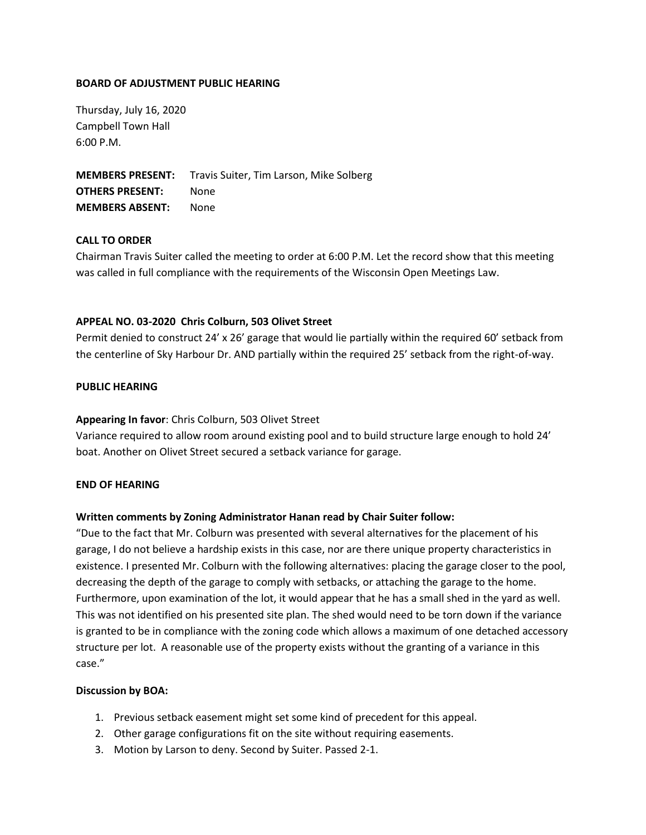#### **BOARD OF ADJUSTMENT PUBLIC HEARING**

Thursday, July 16, 2020 Campbell Town Hall 6:00 P.M.

**MEMBERS PRESENT:** Travis Suiter, Tim Larson, Mike Solberg **OTHERS PRESENT:** None **MEMBERS ABSENT:** None

# **CALL TO ORDER**

Chairman Travis Suiter called the meeting to order at 6:00 P.M. Let the record show that this meeting was called in full compliance with the requirements of the Wisconsin Open Meetings Law.

#### **APPEAL NO. 03-2020 Chris Colburn, 503 Olivet Street**

Permit denied to construct 24' x 26' garage that would lie partially within the required 60' setback from the centerline of Sky Harbour Dr. AND partially within the required 25' setback from the right-of-way.

#### **PUBLIC HEARING**

#### **Appearing In favor**: Chris Colburn, 503 Olivet Street

Variance required to allow room around existing pool and to build structure large enough to hold 24' boat. Another on Olivet Street secured a setback variance for garage.

#### **END OF HEARING**

# **Written comments by Zoning Administrator Hanan read by Chair Suiter follow:**

"Due to the fact that Mr. Colburn was presented with several alternatives for the placement of his garage, I do not believe a hardship exists in this case, nor are there unique property characteristics in existence. I presented Mr. Colburn with the following alternatives: placing the garage closer to the pool, decreasing the depth of the garage to comply with setbacks, or attaching the garage to the home. Furthermore, upon examination of the lot, it would appear that he has a small shed in the yard as well. This was not identified on his presented site plan. The shed would need to be torn down if the variance is granted to be in compliance with the zoning code which allows a maximum of one detached accessory structure per lot. A reasonable use of the property exists without the granting of a variance in this case."

#### **Discussion by BOA:**

- 1. Previous setback easement might set some kind of precedent for this appeal.
- 2. Other garage configurations fit on the site without requiring easements.
- 3. Motion by Larson to deny. Second by Suiter. Passed 2-1.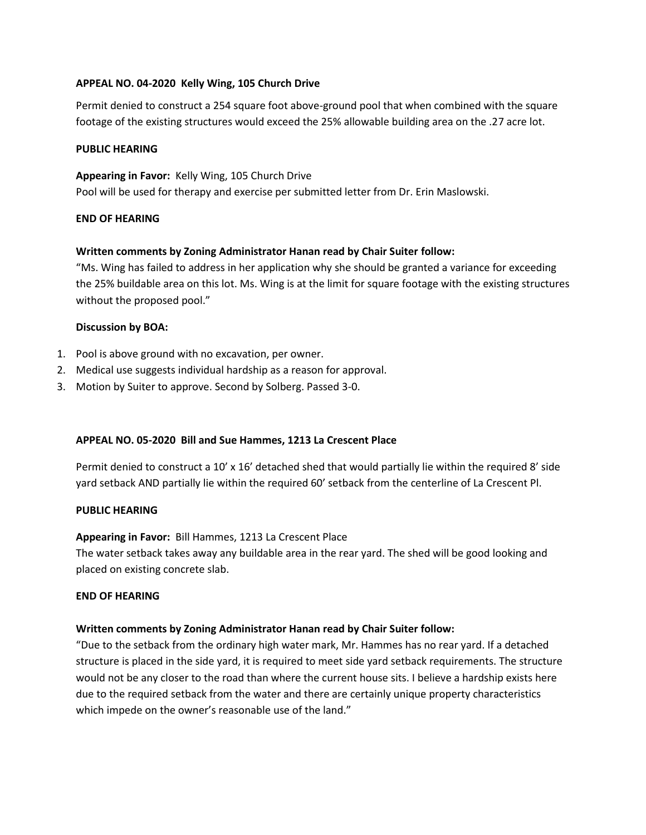## **APPEAL NO. 04-2020 Kelly Wing, 105 Church Drive**

Permit denied to construct a 254 square foot above-ground pool that when combined with the square footage of the existing structures would exceed the 25% allowable building area on the .27 acre lot.

#### **PUBLIC HEARING**

**Appearing in Favor:** Kelly Wing, 105 Church Drive Pool will be used for therapy and exercise per submitted letter from Dr. Erin Maslowski.

#### **END OF HEARING**

# **Written comments by Zoning Administrator Hanan read by Chair Suiter follow:**

"Ms. Wing has failed to address in her application why she should be granted a variance for exceeding the 25% buildable area on this lot. Ms. Wing is at the limit for square footage with the existing structures without the proposed pool."

#### **Discussion by BOA:**

- 1. Pool is above ground with no excavation, per owner.
- 2. Medical use suggests individual hardship as a reason for approval.
- 3. Motion by Suiter to approve. Second by Solberg. Passed 3-0.

# **APPEAL NO. 05-2020 Bill and Sue Hammes, 1213 La Crescent Place**

Permit denied to construct a 10' x 16' detached shed that would partially lie within the required 8' side yard setback AND partially lie within the required 60' setback from the centerline of La Crescent Pl.

#### **PUBLIC HEARING**

**Appearing in Favor:** Bill Hammes, 1213 La Crescent Place The water setback takes away any buildable area in the rear yard. The shed will be good looking and

placed on existing concrete slab.

#### **END OF HEARING**

# **Written comments by Zoning Administrator Hanan read by Chair Suiter follow:**

"Due to the setback from the ordinary high water mark, Mr. Hammes has no rear yard. If a detached structure is placed in the side yard, it is required to meet side yard setback requirements. The structure would not be any closer to the road than where the current house sits. I believe a hardship exists here due to the required setback from the water and there are certainly unique property characteristics which impede on the owner's reasonable use of the land."